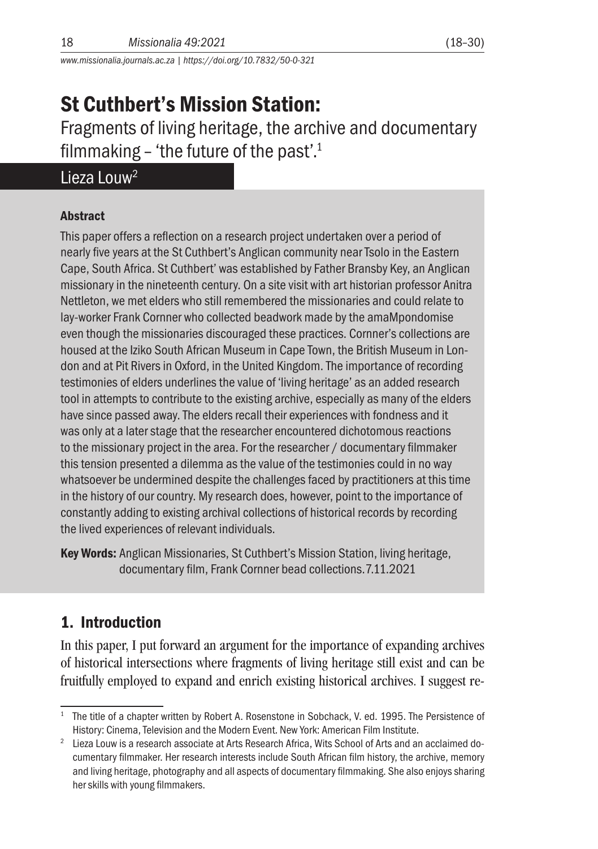*www.missionalia.journals.ac.za | https://doi.org/10.7832/50-0-321*

# St Cuthbert's Mission Station:

Fragments of living heritage, the archive and documentary filmmaking – 'the future of the past'.1

## Lieza Louw2

#### Abstract

This paper offers a reflection on a research project undertaken over a period of nearly five years at the St Cuthbert's Anglican community near Tsolo in the Eastern Cape, South Africa. St Cuthbert' was established by Father Bransby Key, an Anglican missionary in the nineteenth century. On a site visit with art historian professor Anitra Nettleton, we met elders who still remembered the missionaries and could relate to lay-worker Frank Cornner who collected beadwork made by the amaMpondomise even though the missionaries discouraged these practices. Cornner's collections are housed at the Iziko South African Museum in Cape Town, the British Museum in London and at Pit Rivers in Oxford, in the United Kingdom. The importance of recording testimonies of elders underlines the value of 'living heritage' as an added research tool in attempts to contribute to the existing archive, especially as many of the elders have since passed away. The elders recall their experiences with fondness and it was only at a later stage that the researcher encountered dichotomous reactions to the missionary project in the area. For the researcher / documentary filmmaker this tension presented a dilemma as the value of the testimonies could in no way whatsoever be undermined despite the challenges faced by practitioners at this time in the history of our country. My research does, however, point to the importance of constantly adding to existing archival collections of historical records by recording the lived experiences of relevant individuals.

Key Words: Anglican Missionaries, St Cuthbert's Mission Station, living heritage, documentary film, Frank Cornner bead collections.7.11.2021

## 1. Introduction

In this paper, I put forward an argument for the importance of expanding archives of historical intersections where fragments of living heritage still exist and can be fruitfully employed to expand and enrich existing historical archives. I suggest re-

<sup>&</sup>lt;sup>1</sup> The title of a chapter written by Robert A. Rosenstone in Sobchack, V. ed. 1995. The Persistence of History: Cinema, Television and the Modern Event. New York: American Film Institute.

<sup>&</sup>lt;sup>2</sup> Lieza Louw is a research associate at Arts Research Africa, Wits School of Arts and an acclaimed documentary filmmaker. Her research interests include South African film history, the archive, memory and living heritage, photography and all aspects of documentary filmmaking. She also enjoys sharing her skills with young filmmakers.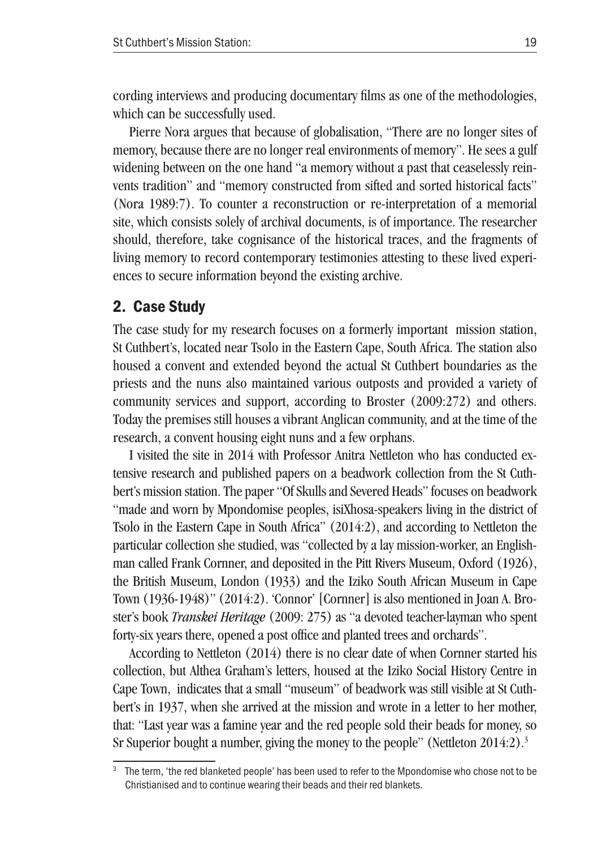cording interviews and producing documentary films as one of the methodologies, which can be successfully used.

Pierre Nora argues that because of globalisation, "There are no longer sites of memory, because there are no longer real environments of memory". He sees a gulf widening between on the one hand "a memory without a past that ceaselessly reinvents tradition" and "memory constructed from sifted and sorted historical facts" (Nora 1989:7). To counter a reconstruction or re-interpretation of a memorial site, which consists solely of archival documents, is of importance. The researcher should, therefore, take cognisance of the historical traces, and the fragments of living memory to record contemporary testimonies attesting to these lived experiences to secure information beyond the existing archive.

### 2. Case Study

The case study for my research focuses on a formerly important mission station, St Cuthbert's, located near Tsolo in the Eastern Cape, South Africa. The station also housed a convent and extended beyond the actual St Cuthbert boundaries as the priests and the nuns also maintained various outposts and provided a variety of community services and support, according to Broster (2009:272) and others. Today the premises still houses a vibrant Anglican community, and at the time of the research, a convent housing eight nuns and a few orphans.

I visited the site in 2014 with Professor Anitra Nettleton who has conducted extensive research and published papers on a beadwork collection from the St Cuthbert's mission station. The paper "Of Skulls and Severed Heads" focuses on beadwork "made and worn by Mpondomise peoples, isiXhosa-speakers living in the district of Tsolo in the Eastern Cape in South Africa" (2014:2), and according to Nettleton the particular collection she studied, was "collected by a lay mission-worker, an Englishman called Frank Cornner, and deposited in the Pitt Rivers Museum, Oxford (1926), the British Museum, London (1933) and the Iziko South African Museum in Cape Town (1936-1948)" (2014:2). 'Connor' [Cornner] is also mentioned in Joan A. Broster's book *Transkei Heritage* (2009: 275) as "a devoted teacher-layman who spent forty-six years there, opened a post office and planted trees and orchards".

According to Nettleton (2014) there is no clear date of when Cornner started his collection, but Althea Graham's letters, housed at the Iziko Social History Centre in Cape Town, indicates that a small "museum" of beadwork was still visible at St Cuthbert's in 1937, when she arrived at the mission and wrote in a letter to her mother, that: "Last year was a famine year and the red people sold their beads for money, so Sr Superior bought a number, giving the money to the people" (Nettleton  $2014:2$ ).<sup>3</sup>

<sup>&</sup>lt;sup>3</sup> The term, 'the red blanketed people' has been used to refer to the Mpondomise who chose not to be Christianised and to continue wearing their beads and their red blankets.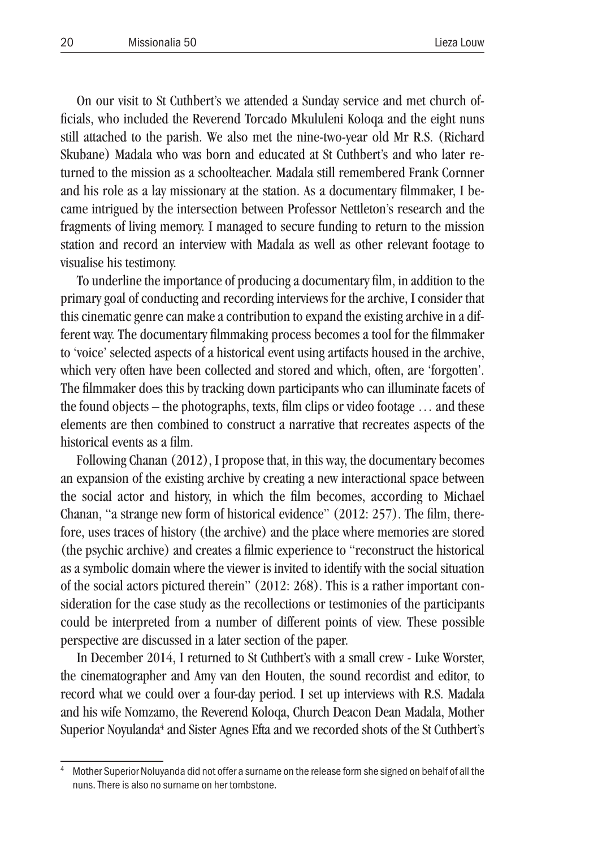On our visit to St Cuthbert's we attended a Sunday service and met church officials, who included the Reverend Torcado Mkululeni Koloqa and the eight nuns still attached to the parish. We also met the nine-two-year old Mr R.S. (Richard Skubane) Madala who was born and educated at St Cuthbert's and who later returned to the mission as a schoolteacher. Madala still remembered Frank Cornner and his role as a lay missionary at the station. As a documentary filmmaker, I became intrigued by the intersection between Professor Nettleton's research and the fragments of living memory. I managed to secure funding to return to the mission station and record an interview with Madala as well as other relevant footage to visualise his testimony.

To underline the importance of producing a documentary film, in addition to the primary goal of conducting and recording interviews for the archive, I consider that this cinematic genre can make a contribution to expand the existing archive in a different way. The documentary filmmaking process becomes a tool for the filmmaker to 'voice' selected aspects of a historical event using artifacts housed in the archive, which very often have been collected and stored and which, often, are 'forgotten'. The filmmaker does this by tracking down participants who can illuminate facets of the found objects – the photographs, texts, film clips or video footage … and these elements are then combined to construct a narrative that recreates aspects of the historical events as a film.

Following Chanan (2012), I propose that, in this way, the documentary becomes an expansion of the existing archive by creating a new interactional space between the social actor and history, in which the film becomes, according to Michael Chanan, "a strange new form of historical evidence" (2012: 257). The film, therefore, uses traces of history (the archive) and the place where memories are stored (the psychic archive) and creates a filmic experience to "reconstruct the historical as a symbolic domain where the viewer is invited to identify with the social situation of the social actors pictured therein" (2012: 268). This is a rather important consideration for the case study as the recollections or testimonies of the participants could be interpreted from a number of different points of view. These possible perspective are discussed in a later section of the paper.

In December 2014, I returned to St Cuthbert's with a small crew - Luke Worster, the cinematographer and Amy van den Houten, the sound recordist and editor, to record what we could over a four-day period. I set up interviews with R.S. Madala and his wife Nomzamo, the Reverend Koloqa, Church Deacon Dean Madala, Mother Superior Noyulanda<sup>4</sup> and Sister Agnes Efta and we recorded shots of the St Cuthbert's

<sup>4</sup> Mother Superior Noluyanda did not offer a surname on the release form she signed on behalf of all the nuns. There is also no surname on her tombstone.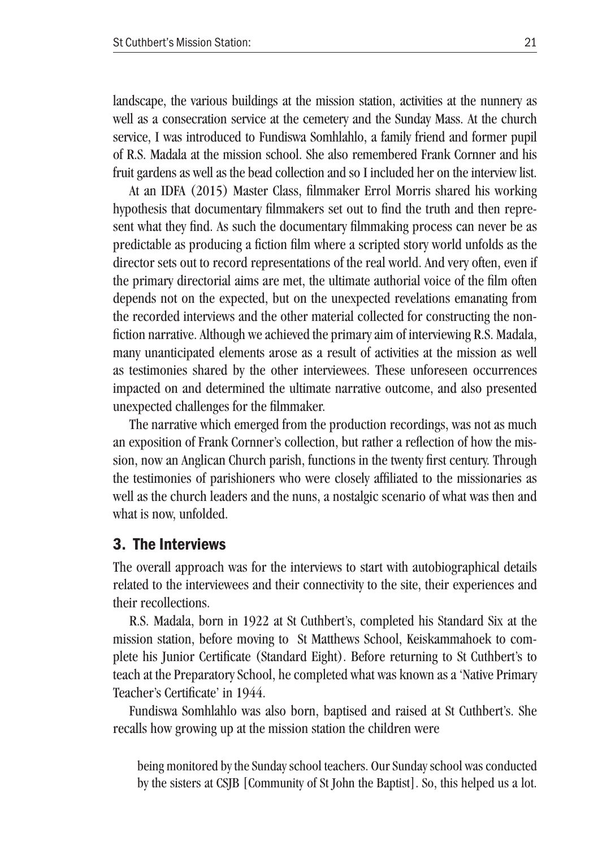landscape, the various buildings at the mission station, activities at the nunnery as well as a consecration service at the cemetery and the Sunday Mass. At the church service, I was introduced to Fundiswa Somhlahlo, a family friend and former pupil of R.S. Madala at the mission school. She also remembered Frank Cornner and his fruit gardens as well as the bead collection and so I included her on the interview list.

At an IDFA (2015) Master Class, filmmaker Errol Morris shared his working hypothesis that documentary filmmakers set out to find the truth and then represent what they find. As such the documentary filmmaking process can never be as predictable as producing a fiction film where a scripted story world unfolds as the director sets out to record representations of the real world. And very often, even if the primary directorial aims are met, the ultimate authorial voice of the film often depends not on the expected, but on the unexpected revelations emanating from the recorded interviews and the other material collected for constructing the nonfiction narrative. Although we achieved the primary aim of interviewing R.S. Madala, many unanticipated elements arose as a result of activities at the mission as well as testimonies shared by the other interviewees. These unforeseen occurrences impacted on and determined the ultimate narrative outcome, and also presented unexpected challenges for the filmmaker.

The narrative which emerged from the production recordings, was not as much an exposition of Frank Cornner's collection, but rather a reflection of how the mission, now an Anglican Church parish, functions in the twenty first century. Through the testimonies of parishioners who were closely affiliated to the missionaries as well as the church leaders and the nuns, a nostalgic scenario of what was then and what is now, unfolded.

#### 3. The Interviews

The overall approach was for the interviews to start with autobiographical details related to the interviewees and their connectivity to the site, their experiences and their recollections.

R.S. Madala, born in 1922 at St Cuthbert's, completed his Standard Six at the mission station, before moving to St Matthews School, Keiskammahoek to complete his Junior Certificate (Standard Eight). Before returning to St Cuthbert's to teach at the Preparatory School, he completed what was known as a 'Native Primary Teacher's Certificate' in 1944.

Fundiswa Somhlahlo was also born, baptised and raised at St Cuthbert's. She recalls how growing up at the mission station the children were

being monitored by the Sunday school teachers. Our Sunday school was conducted by the sisters at CSJB [Community of St John the Baptist]. So, this helped us a lot.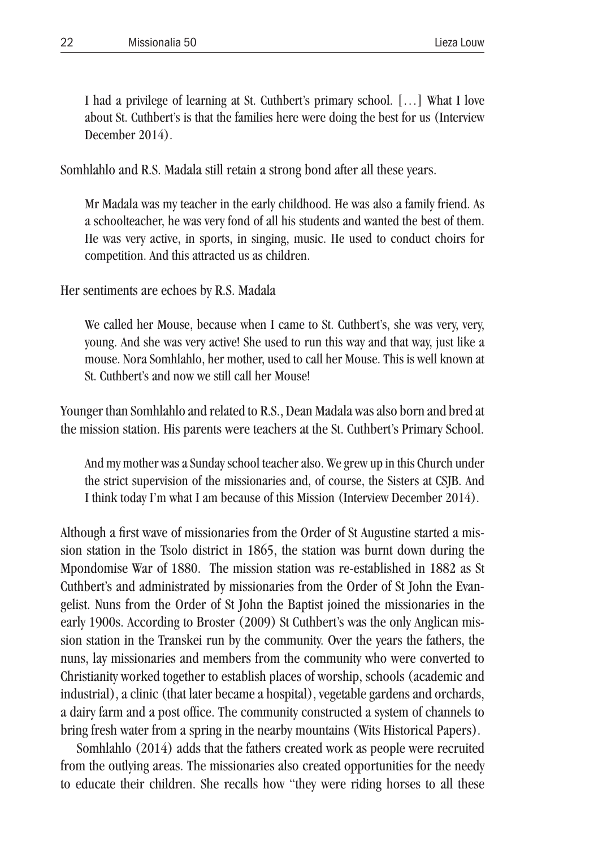I had a privilege of learning at St. Cuthbert's primary school. […] What I love about St. Cuthbert's is that the families here were doing the best for us (Interview December 2014).

Somhlahlo and R.S. Madala still retain a strong bond after all these years.

Mr Madala was my teacher in the early childhood. He was also a family friend. As a schoolteacher, he was very fond of all his students and wanted the best of them. He was very active, in sports, in singing, music. He used to conduct choirs for competition. And this attracted us as children.

Her sentiments are echoes by R.S. Madala

We called her Mouse, because when I came to St. Cuthbert's, she was very, very, young. And she was very active! She used to run this way and that way, just like a mouse. Nora Somhlahlo, her mother, used to call her Mouse. This is well known at St. Cuthbert's and now we still call her Mouse!

Younger than Somhlahlo and related to R.S., Dean Madala was also born and bred at the mission station. His parents were teachers at the St. Cuthbert's Primary School.

And my mother was a Sunday school teacher also. We grew up in this Church under the strict supervision of the missionaries and, of course, the Sisters at CSJB. And I think today I'm what I am because of this Mission (Interview December 2014).

Although a first wave of missionaries from the Order of St Augustine started a mission station in the Tsolo district in 1865, the station was burnt down during the Mpondomise War of 1880. The mission station was re-established in 1882 as St Cuthbert's and administrated by missionaries from the Order of St John the Evangelist. Nuns from the Order of St John the Baptist joined the missionaries in the early 1900s. According to Broster (2009) St Cuthbert's was the only Anglican mission station in the Transkei run by the community. Over the years the fathers, the nuns, lay missionaries and members from the community who were converted to Christianity worked together to establish places of worship, schools (academic and industrial), a clinic (that later became a hospital), vegetable gardens and orchards, a dairy farm and a post office. The community constructed a system of channels to bring fresh water from a spring in the nearby mountains (Wits Historical Papers).

Somhlahlo (2014) adds that the fathers created work as people were recruited from the outlying areas. The missionaries also created opportunities for the needy to educate their children. She recalls how "they were riding horses to all these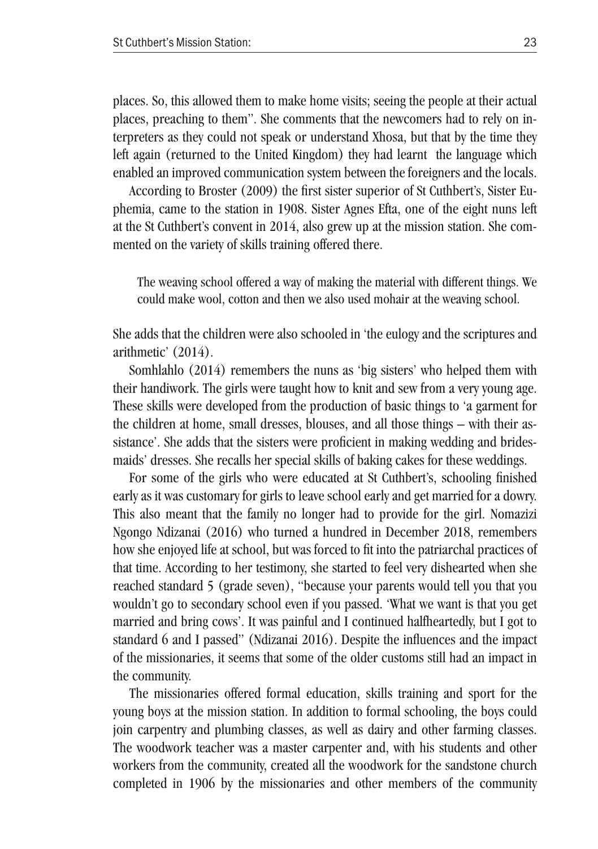places. So, this allowed them to make home visits; seeing the people at their actual places, preaching to them". She comments that the newcomers had to rely on interpreters as they could not speak or understand Xhosa, but that by the time they left again (returned to the United Kingdom) they had learnt the language which enabled an improved communication system between the foreigners and the locals.

According to Broster (2009) the first sister superior of St Cuthbert's, Sister Euphemia, came to the station in 1908. Sister Agnes Efta, one of the eight nuns left at the St Cuthbert's convent in 2014, also grew up at the mission station. She commented on the variety of skills training offered there.

The weaving school offered a way of making the material with different things. We could make wool, cotton and then we also used mohair at the weaving school.

She adds that the children were also schooled in 'the eulogy and the scriptures and arithmetic' (2014).

Somhlahlo (2014) remembers the nuns as 'big sisters' who helped them with their handiwork. The girls were taught how to knit and sew from a very young age. These skills were developed from the production of basic things to 'a garment for the children at home, small dresses, blouses, and all those things – with their assistance'. She adds that the sisters were proficient in making wedding and bridesmaids' dresses. She recalls her special skills of baking cakes for these weddings.

For some of the girls who were educated at St Cuthbert's, schooling finished early as it was customary for girls to leave school early and get married for a dowry. This also meant that the family no longer had to provide for the girl. Nomazizi Ngongo Ndizanai (2016) who turned a hundred in December 2018, remembers how she enjoyed life at school, but was forced to fit into the patriarchal practices of that time. According to her testimony, she started to feel very dishearted when she reached standard 5 (grade seven), "because your parents would tell you that you wouldn't go to secondary school even if you passed. 'What we want is that you get married and bring cows'. It was painful and I continued halfheartedly, but I got to standard 6 and I passed" (Ndizanai 2016). Despite the influences and the impact of the missionaries, it seems that some of the older customs still had an impact in the community.

The missionaries offered formal education, skills training and sport for the young boys at the mission station. In addition to formal schooling, the boys could join carpentry and plumbing classes, as well as dairy and other farming classes. The woodwork teacher was a master carpenter and, with his students and other workers from the community, created all the woodwork for the sandstone church completed in 1906 by the missionaries and other members of the community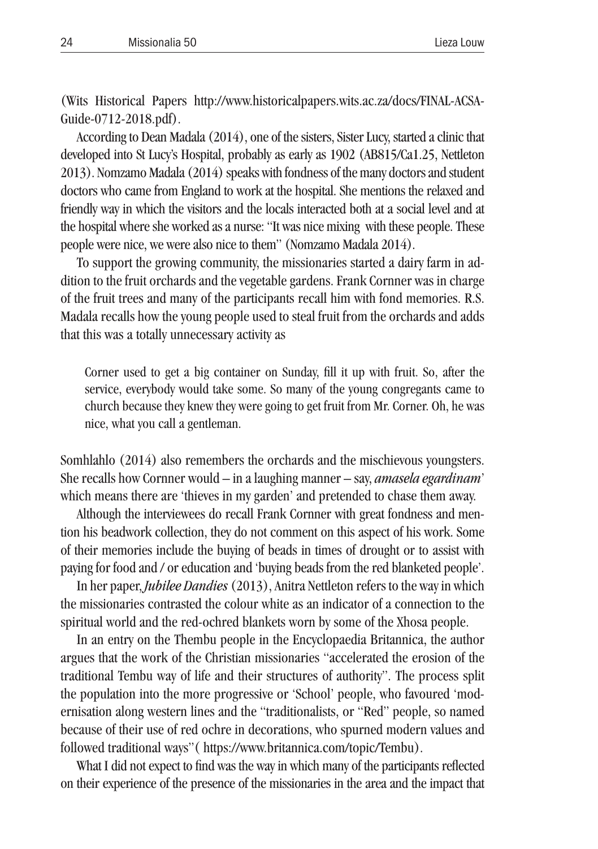(Wits Historical Papers http://www.historicalpapers.wits.ac.za/docs/FINAL-ACSA-Guide-0712-2018.pdf).

According to Dean Madala (2014), one of the sisters, Sister Lucy, started a clinic that developed into St Lucy's Hospital, probably as early as 1902 (AB815/Ca1.25, Nettleton 2013). Nomzamo Madala (2014) speaks with fondness of the many doctors and student doctors who came from England to work at the hospital. She mentions the relaxed and friendly way in which the visitors and the locals interacted both at a social level and at the hospital where she worked as a nurse: "It was nice mixing with these people. These people were nice, we were also nice to them" (Nomzamo Madala 2014).

To support the growing community, the missionaries started a dairy farm in addition to the fruit orchards and the vegetable gardens. Frank Cornner was in charge of the fruit trees and many of the participants recall him with fond memories. R.S. Madala recalls how the young people used to steal fruit from the orchards and adds that this was a totally unnecessary activity as

Corner used to get a big container on Sunday, fill it up with fruit. So, after the service, everybody would take some. So many of the young congregants came to church because they knew they were going to get fruit from Mr. Corner. Oh, he was nice, what you call a gentleman.

Somhlahlo (2014) also remembers the orchards and the mischievous youngsters. She recalls how Cornner would – in a laughing manner – say, *amasela egardinam*' which means there are 'thieves in my garden' and pretended to chase them away.

Although the interviewees do recall Frank Cornner with great fondness and mention his beadwork collection, they do not comment on this aspect of his work. Some of their memories include the buying of beads in times of drought or to assist with paying for food and / or education and 'buying beads from the red blanketed people'.

In her paper, *Jubilee Dandies* (2013), Anitra Nettleton refers to the way in which the missionaries contrasted the colour white as an indicator of a connection to the spiritual world and the red-ochred blankets worn by some of the Xhosa people.

In an entry on the Thembu people in the Encyclopaedia Britannica, the author argues that the work of the Christian missionaries "accelerated the erosion of the traditional Tembu way of life and their structures of authority". The process split the population into the more progressive or 'School' people, who favoured 'modernisation along western lines and the "traditionalists, or "Red" people, so named because of their use of red ochre in decorations, who spurned modern values and followed traditional ways"( https://www.britannica.com/topic/Tembu).

What I did not expect to find was the way in which many of the participants reflected on their experience of the presence of the missionaries in the area and the impact that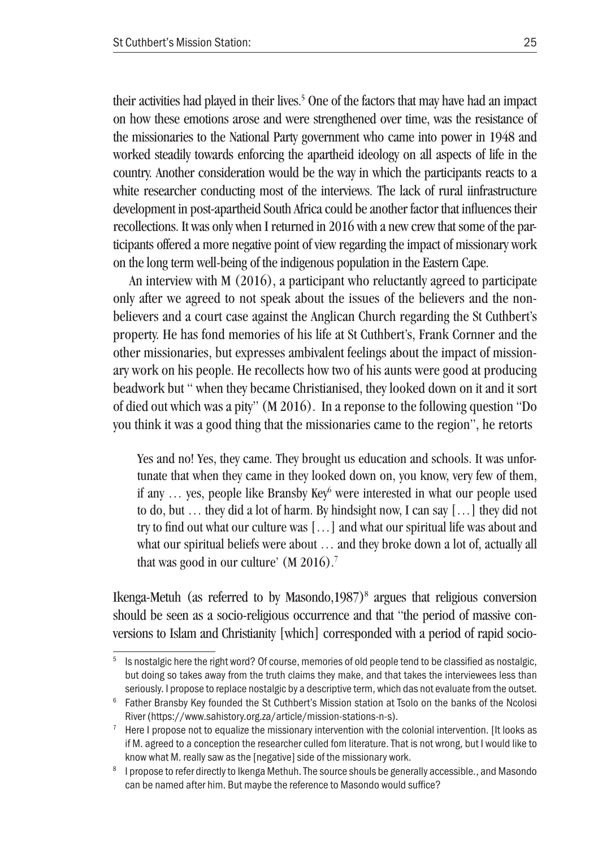their activities had played in their lives.<sup>5</sup> One of the factors that may have had an impact on how these emotions arose and were strengthened over time, was the resistance of the missionaries to the National Party government who came into power in 1948 and worked steadily towards enforcing the apartheid ideology on all aspects of life in the country. Another consideration would be the way in which the participants reacts to a white researcher conducting most of the interviews. The lack of rural iinfrastructure development in post-apartheid South Africa could be another factor that influences their recollections. It was only when I returned in 2016 with a new crew that some of the participants offered a more negative point of view regarding the impact of missionary work on the long term well-being of the indigenous population in the Eastern Cape.

An interview with M (2016), a participant who reluctantly agreed to participate only after we agreed to not speak about the issues of the believers and the nonbelievers and a court case against the Anglican Church regarding the St Cuthbert's property. He has fond memories of his life at St Cuthbert's, Frank Cornner and the other missionaries, but expresses ambivalent feelings about the impact of missionary work on his people. He recollects how two of his aunts were good at producing beadwork but " when they became Christianised, they looked down on it and it sort of died out which was a pity" (M 2016). In a reponse to the following question "Do you think it was a good thing that the missionaries came to the region", he retorts

Yes and no! Yes, they came. They brought us education and schools. It was unfortunate that when they came in they looked down on, you know, very few of them, if any ... yes, people like Bransby Key<sup>6</sup> were interested in what our people used to do, but … they did a lot of harm. By hindsight now, I can say […] they did not try to find out what our culture was […] and what our spiritual life was about and what our spiritual beliefs were about … and they broke down a lot of, actually all that was good in our culture' (M 2016).<sup>7</sup>

Ikenga-Metuh (as referred to by Masondo, 1987)<sup>8</sup> argues that religious conversion should be seen as a socio-religious occurrence and that "the period of massive conversions to Islam and Christianity [which] corresponded with a period of rapid socio-

 $5$  Is nostalgic here the right word? Of course, memories of old people tend to be classified as nostalgic. but doing so takes away from the truth claims they make, and that takes the interviewees less than seriously. I propose to replace nostalgic by a descriptive term, which das not evaluate from the outset.

<sup>6</sup> Father Bransby Key founded the St Cuthbert's Mission station at Tsolo on the banks of the Ncolosi River (https://www.sahistory.org.za/article/mission-stations-n-s).

 $7$  Here I propose not to equalize the missionary intervention with the colonial intervention. [It looks as if M. agreed to a conception the researcher culled fom literature. That is not wrong, but I would like to know what M. really saw as the [negative] side of the missionary work.

<sup>8</sup> I propose to refer directly to Ikenga Methuh. The source shouls be generally accessible., and Masondo can be named after him. But maybe the reference to Masondo would suffice?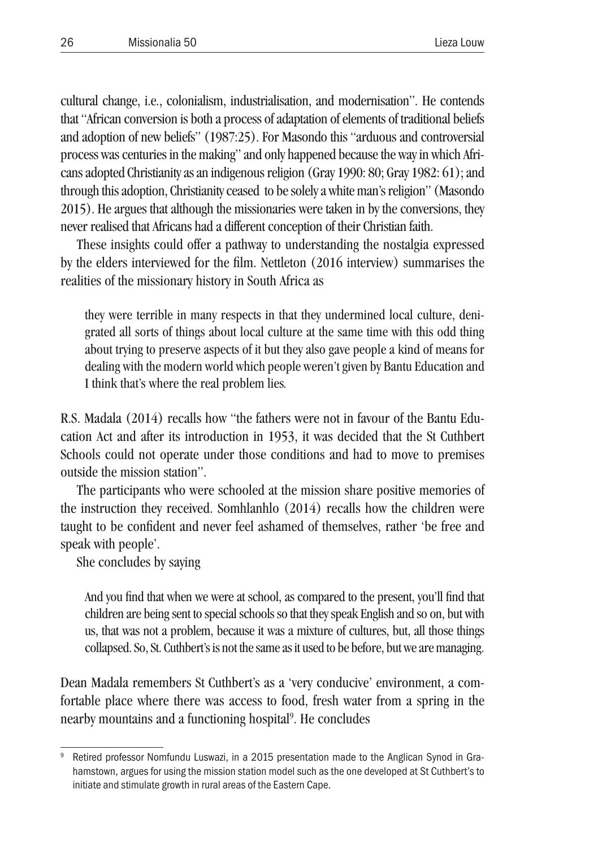cultural change, i.e., colonialism, industrialisation, and modernisation". He contends that "African conversion is both a process of adaptation of elements of traditional beliefs and adoption of new beliefs" (1987:25). For Masondo this "arduous and controversial process was centuries in the making" and only happened because the way in which Africans adopted Christianity as an indigenous religion (Gray 1990: 80; Gray 1982: 61); and through this adoption, Christianity ceased to be solely a white man's religion" (Masondo 2015). He argues that although the missionaries were taken in by the conversions, they never realised that Africans had a different conception of their Christian faith.

These insights could offer a pathway to understanding the nostalgia expressed by the elders interviewed for the film. Nettleton (2016 interview) summarises the realities of the missionary history in South Africa as

they were terrible in many respects in that they undermined local culture, denigrated all sorts of things about local culture at the same time with this odd thing about trying to preserve aspects of it but they also gave people a kind of means for dealing with the modern world which people weren't given by Bantu Education and I think that's where the real problem lies*.*

R.S. Madala (2014) recalls how "the fathers were not in favour of the Bantu Education Act and after its introduction in 1953, it was decided that the St Cuthbert Schools could not operate under those conditions and had to move to premises outside the mission station".

The participants who were schooled at the mission share positive memories of the instruction they received. Somhlanhlo (2014) recalls how the children were taught to be confident and never feel ashamed of themselves, rather 'be free and speak with people'.

She concludes by saying

And you find that when we were at school, as compared to the present, you'll find that children are being sent to special schools so that they speak English and so on, but with us, that was not a problem, because it was a mixture of cultures, but, all those things collapsed. So, St. Cuthbert's is not the same as it used to be before, but we are managing.

Dean Madala remembers St Cuthbert's as a 'very conducive' environment, a comfortable place where there was access to food, fresh water from a spring in the nearby mountains and a functioning hospital<sup>9</sup>. He concludes

Retired professor Nomfundu Luswazi, in a 2015 presentation made to the Anglican Synod in Grahamstown, argues for using the mission station model such as the one developed at St Cuthbert's to initiate and stimulate growth in rural areas of the Eastern Cape.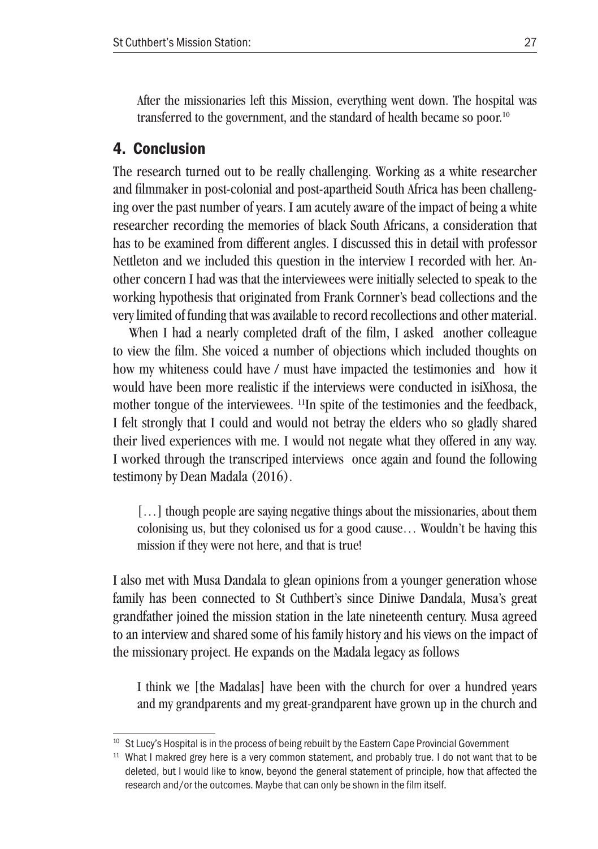After the missionaries left this Mission, everything went down. The hospital was transferred to the government, and the standard of health became so poor.<sup>10</sup>

## 4. Conclusion

The research turned out to be really challenging. Working as a white researcher and filmmaker in post-colonial and post-apartheid South Africa has been challenging over the past number of years. I am acutely aware of the impact of being a white researcher recording the memories of black South Africans, a consideration that has to be examined from different angles. I discussed this in detail with professor Nettleton and we included this question in the interview I recorded with her. Another concern I had was that the interviewees were initially selected to speak to the working hypothesis that originated from Frank Cornner's bead collections and the very limited of funding that was available to record recollections and other material.

When I had a nearly completed draft of the film, I asked another colleague to view the film. She voiced a number of objections which included thoughts on how my whiteness could have / must have impacted the testimonies and how it would have been more realistic if the interviews were conducted in isiXhosa, the mother tongue of the interviewees. 11In spite of the testimonies and the feedback, I felt strongly that I could and would not betray the elders who so gladly shared their lived experiences with me. I would not negate what they offered in any way. I worked through the transcriped interviews once again and found the following testimony by Dean Madala (2016).

[...] though people are saying negative things about the missionaries, about them colonising us, but they colonised us for a good cause… Wouldn't be having this mission if they were not here, and that is true!

I also met with Musa Dandala to glean opinions from a younger generation whose family has been connected to St Cuthbert's since Diniwe Dandala, Musa's great grandfather joined the mission station in the late nineteenth century. Musa agreed to an interview and shared some of his family history and his views on the impact of the missionary project. He expands on the Madala legacy as follows

I think we [the Madalas] have been with the church for over a hundred years and my grandparents and my great-grandparent have grown up in the church and

<sup>&</sup>lt;sup>10</sup> St Lucy's Hospital is in the process of being rebuilt by the Eastern Cape Provincial Government

<sup>&</sup>lt;sup>11</sup> What I makred grey here is a very common statement, and probably true. I do not want that to be deleted, but I would like to know, beyond the general statement of principle, how that affected the research and/or the outcomes. Maybe that can only be shown in the film itself.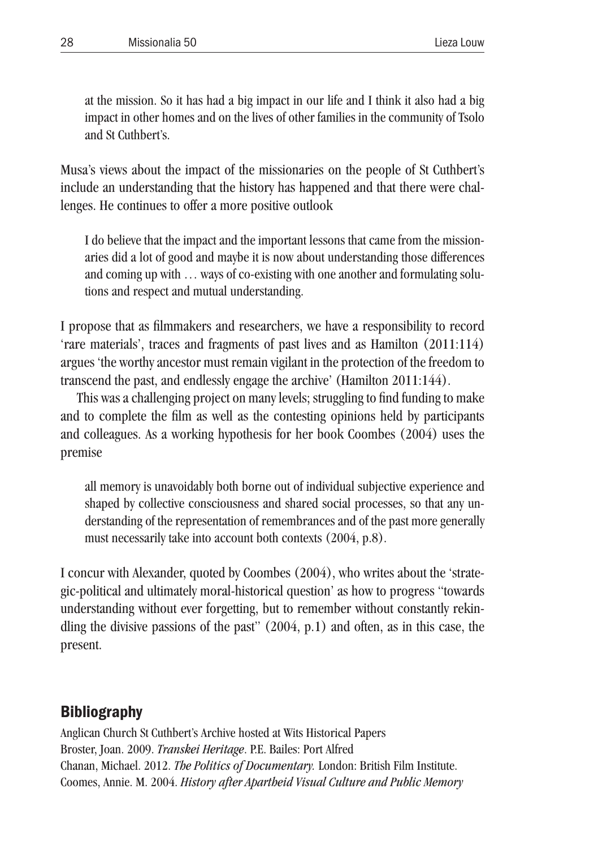at the mission. So it has had a big impact in our life and I think it also had a big impact in other homes and on the lives of other families in the community of Tsolo and St Cuthbert's.

Musa's views about the impact of the missionaries on the people of St Cuthbert's include an understanding that the history has happened and that there were challenges. He continues to offer a more positive outlook

I do believe that the impact and the important lessons that came from the missionaries did a lot of good and maybe it is now about understanding those differences and coming up with … ways of co-existing with one another and formulating solutions and respect and mutual understanding.

I propose that as filmmakers and researchers, we have a responsibility to record 'rare materials', traces and fragments of past lives and as Hamilton (2011:114) argues 'the worthy ancestor must remain vigilant in the protection of the freedom to transcend the past, and endlessly engage the archive' (Hamilton 2011:144).

This was a challenging project on many levels; struggling to find funding to make and to complete the film as well as the contesting opinions held by participants and colleagues. As a working hypothesis for her book Coombes (2004) uses the premise

all memory is unavoidably both borne out of individual subjective experience and shaped by collective consciousness and shared social processes, so that any understanding of the representation of remembrances and of the past more generally must necessarily take into account both contexts (2004, p.8).

I concur with Alexander, quoted by Coombes (2004), who writes about the 'strategic-political and ultimately moral-historical question' as how to progress "towards understanding without ever forgetting, but to remember without constantly rekindling the divisive passions of the past" (2004, p.1) and often, as in this case, the present.

## **Bibliography**

Anglican Church St Cuthbert's Archive hosted at Wits Historical Papers Broster, Joan. 2009. *Transkei Heritage*. P.E. Bailes: Port Alfred Chanan, Michael. 2012. *The Politics of Documentary.* London: British Film Institute. Coomes, Annie. M. 2004. *History after Apartheid Visual Culture and Public Memory*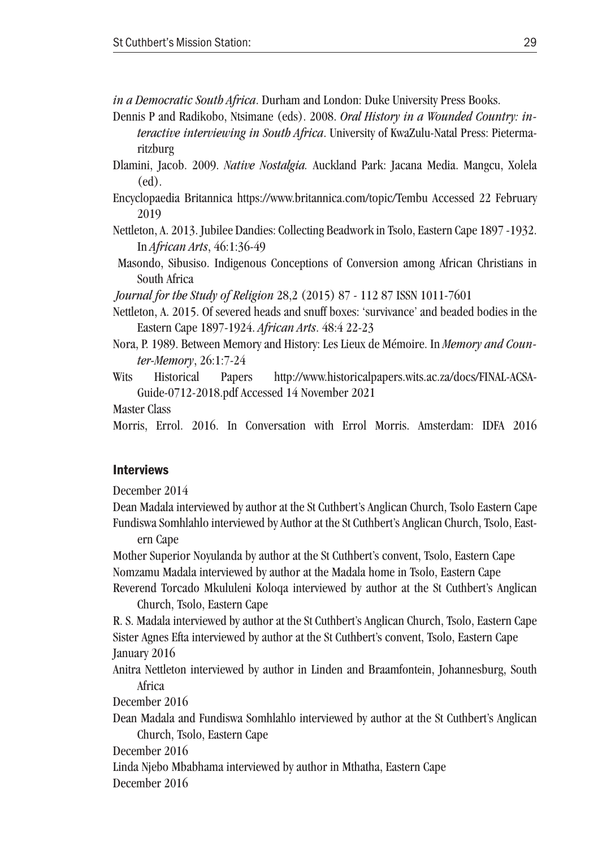*in a Democratic South Africa*. Durham and London: Duke University Press Books.

- Dennis P and Radikobo, Ntsimane (eds). 2008. *Oral History in a Wounded Country: interactive interviewing in South Africa*. University of KwaZulu-Natal Press: Pietermaritzburg
- Dlamini, Jacob. 2009. *Native Nostalgia.* Auckland Park: Jacana Media. Mangcu, Xolela (ed).
- Encyclopaedia Britannica https://www.britannica.com/topic/Tembu Accessed 22 February 2019
- Nettleton, A. 2013. Jubilee Dandies: Collecting Beadwork in Tsolo, Eastern Cape 1897 -1932. In *African Arts*, 46:1:36-49
- Masondo, Sibusiso. Indigenous Conceptions of Conversion among African Christians in South Africa

*Journal for the Study of Religion* 28,2 (2015) 87 - 112 87 ISSN 1011-7601

- Nettleton, A. 2015. Of severed heads and snuff boxes: 'survivance' and beaded bodies in the Eastern Cape 1897-1924. *African Arts*. 48:4 22-23
- Nora, P. 1989. Between Memory and History: Les Lieux de Mémoire. In *Memory and Counter-Memory*, 26:1:7-24
- Wits Historical Papers http://www.historicalpapers.wits.ac.za/docs/FINAL-ACSA-Guide-0712-2018.pdf Accessed 14 November 2021
- Master Class

Morris, Errol. 2016. In Conversation with Errol Morris. Amsterdam: IDFA 2016

#### Interviews

December 2014

Dean Madala interviewed by author at the St Cuthbert's Anglican Church, Tsolo Eastern Cape Fundiswa Somhlahlo interviewed by Author at the St Cuthbert's Anglican Church, Tsolo, East-

ern Cape

Mother Superior Noyulanda by author at the St Cuthbert's convent, Tsolo, Eastern Cape Nomzamu Madala interviewed by author at the Madala home in Tsolo, Eastern Cape Reverend Torcado Mkululeni Koloqa interviewed by author at the St Cuthbert's Anglican

Church, Tsolo, Eastern Cape

R. S. Madala interviewed by author at the St Cuthbert's Anglican Church, Tsolo, Eastern Cape Sister Agnes Efta interviewed by author at the St Cuthbert's convent, Tsolo, Eastern Cape January 2016

Anitra Nettleton interviewed by author in Linden and Braamfontein, Johannesburg, South Africa

December 2016

Dean Madala and Fundiswa Somhlahlo interviewed by author at the St Cuthbert's Anglican Church, Tsolo, Eastern Cape

December 2016

Linda Njebo Mbabhama interviewed by author in Mthatha, Eastern Cape

December 2016